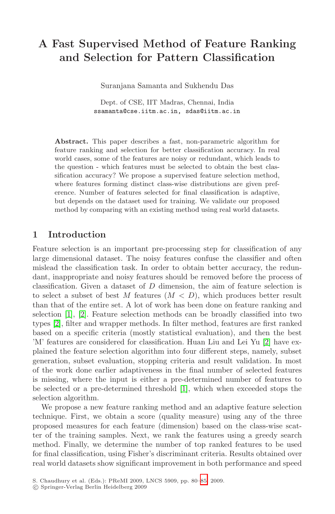# **A Fast Supervised Method of Feature Ranking and Selection for Pattern Classification**

Suranjana Samanta and Sukhendu Das

Dept. of CSE, IIT Madras, Chennai, India ssamanta@cse.iitm.ac.in, sdas@iitm.ac.in

**Abstract.** This paper describes a fast, non-parametric algorithm for feature ranking and selection for better classification accuracy. In real world cases, some of the features are noisy or redundant, which leads to the question - which features must be selected to obtain the best classification accuracy? We propose a supervised feature selection method, where features forming distinct class-wise distributions are given preference. Number of features selected for final classification is adaptive, but depends on the dataset used for training. We validate our proposed method by comparing with an existing method using real world datasets.

# **1 Introduction**

Feature selection is an important pre-processing step for classification of any large dimensional dataset. The noisy features confuse the classifier and often mislead the classification task. In order to obta[in](#page-5-0) better accuracy, the redundant, inappropriate and noisy features should be removed before the process of classification. Given a dataset of D dimension, the aim of feature selection is to select a subset of best M features  $(M < D)$ , which produces better result than that of the entire set. A lot of work has been done on feature ranking and selection [1], [2]. Featur[e s](#page-5-1)election methods can be broadly classified into two types [2], filter and wrapper methods. In filter method, features are first ranked based on a specific criteria (mostly statistical evaluation), and then the best 'M' features are considered for classification. Huan Liu and Lei Yu [2] have explained the feature selection algorithm into four different steps, namely, subset generation, subset evaluation, stopping criteria and result validation. In most of the work done earlier adaptiveness in the final number of selected features is missing, where the input is either a pre-determined number of features to be selected or a pre-determined threshold [1], which when exceeded stops the selection algorithm.

We propose a new feature r[an](#page-5-2)king method and an adaptive feature selection technique. First, we obtain a score (quality measure) using any of the three proposed measures for each feature (dimension) based on the class-wise scatter of the training samples. Next, we rank the features using a greedy search method. Finally, we determine the number of top ranked features to be used for final classification, using Fisher's discriminant criteria. Results obtained over real world datasets show significant improvement in both performance and speed

S. Chaudhury et al. (Eds.): PReMI 2009, LNCS 5909, pp. 80–85, 2009.

<sup>-</sup>c Springer-Verlag Berlin Heidelberg 2009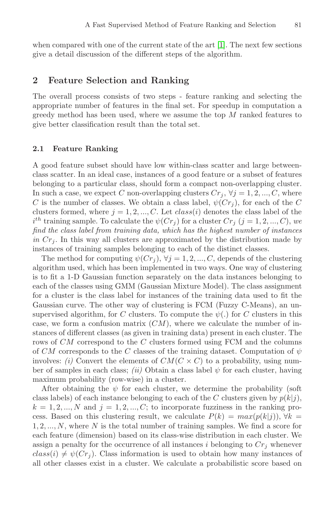when compared with one of the current state of the art [1]. The next few sections give a detail discussion of the different steps of the algorithm.

# **2 Feature Selection and Ranking**

The overall process consists of two steps - feature ranking and selecting the appropriate number of features in the final set. For speedup in computation a greedy method has been used, where we assume the top  $M$  ranked features to give better classification result than the total set.

### **2.1 Feature Ranking**

A good feature subset should have low within-class scatter and large betweenclass scatter. In an ideal case, instances of a good feature or a subset of features belonging to a particular class, should form a compact non-overlapping cluster. In such a case, we expect C non-overlapping clusters  $Cr_j$ ,  $\forall j = 1, 2, ..., C$ , where C is the number of classes. We obtain a class label,  $\psi(Cr_j)$ , for each of the C clusters formed, where  $j = 1, 2, ..., C$ . Let  $class(i)$  denotes the class label of the  $i^{th}$  training sample. To calculate the  $\psi(Cr_j)$  for a cluster  $Cr_j$   $(j = 1, 2, ..., C)$ , we *find the class label from training data, which has the highest number of instances in*  $Cr_i$ . In this way all clusters are approximated by the distribution made by instances of training samples belonging to each of the distinct classes.

The method for computing  $\psi(Cr_i)$ ,  $\forall j = 1, 2, ..., C$ , depends of the clustering algorithm used, which has been implemented in two ways. One way of clustering is to fit a 1-D Gaussian function separately on the data instances belonging to each of the classes using GMM (Gaussian Mixture Model). The class assignment for a cluster is the class label for instances of the training data used to fit the Gaussian curve. The other way of clustering is FCM (Fuzzy C-Means), an unsupervised algorithm, for C clusters. To compute the  $\psi(.)$  for C clusters in this case, we form a confusion matrix  $(CM)$ , where we calculate the number of instances of different classes (as given in training data) present in each cluster. The rows of CM correspond to the C clusters formed using FCM and the columns of CM corresponds to the C classes of the training dataset. Computation of  $\psi$ involves: *(i)* Convert the elements of  $CM(C \times C)$  to a probability, using number of samples in each class; *(ii)* Obtain a class label  $\psi$  for each cluster, having maximum probability (row-wise) in a cluster.

After obtaining the  $\psi$  for each cluster, we determine the probability (soft class labels) of each instance belonging to each of the C clusters given by  $p(k|i)$ ,  $k = 1, 2, ..., N$  and  $j = 1, 2, ..., C$ ; to incorporate fuzziness in the ranking process. Based on this clustering result, we calculate  $P(k) = max(p(k|j))$ ,  $\forall k =$  $1, 2, \ldots, N$ , where N is the total number of training samples. We find a score for each feature (dimension) based on its class-wise distribution in each cluster. We assign a penalty for the occurrence of all instances i belonging to  $Cr_i$  whenever  $class(i) \neq \psi(Cr_i)$ . Class information is used to obtain how many instances of all other classes exist in a cluster. We calculate a probabilistic score based on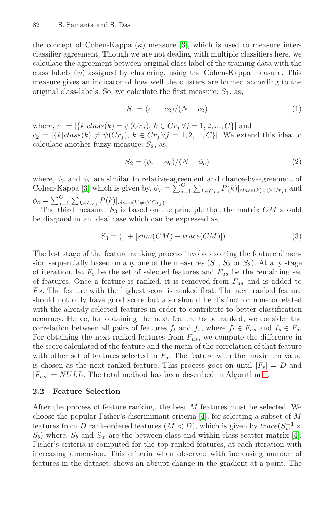#### 82 S. Samanta and S. Das

the concept of Cohen-Kappa  $(\kappa)$  measure [3], which is used to measure interclassifier agreement. Though we are not dealing with multiple classifiers here, we calculate the agreement between original class label of the training data with the class labels  $(\psi)$  assigned by clustering, using the Cohen-Kappa measure. This measure gives an indicator of how well the clusters are formed according to the original class-labels. So, we calculate the first measure:  $S_1$ , as,

$$
S_1 = (c_1 - c_2)/(N - c_2) \tag{1}
$$

where,  $c_1 = |\{k|class(k) = \psi(Cr_j), k \in Cr_j \,\forall j = 1, 2, ..., C\}|$  and  $c_2 = |\{k|class(k) \neq \psi(Cr_j), k \in Cr_j \,\forall j = 1, 2, ..., C\}|.$  We extend this idea to calculate another fuzzy measure:  $S_2$ , as,

$$
S_2 = (\phi_r - \phi_c)/(N - \phi_c)
$$
 (2)

where,  $\phi_r$  and  $\phi_c$  are similar to relative-agreement and chance-by-agreement of Cohen-Kappa [3] which is given by,  $\phi_r = \sum_{j=1}^{C} \sum_{k \in Cr_j} P(k)|_{class(k)=\psi(Cr_j)}$  and  $\phi_c = \sum_{j=1}^C \sum_{k \in Cr_j} P(k)|_{class(k) \neq \psi(Cr_j)}$ .

The third measure:  $S_3$  is based on the principle that the matrix CM should be diagonal in an ideal case which can be expressed as,

$$
S_3 = (1 + [sum(CM) - trace(CM)])^{-1}
$$
 (3)

The last stage of the feature ranking process involves sorting the feature dimension sequentially based on any one of the measures  $(S_1, S_2 \text{ or } S_3)$ . At any stage of iteration, let  $F_s$  be the set of selected features and  $F_{us}$  be the remaining set of features. Once a feature is ranked, it is removed from  $F_{us}$  and is added to  $Fs$ . The feature with the highest score is ranked first. The next ranked feature should not only have good score but also shoul[d b](#page-3-0)e distinct or non-correlated with the already selected features in order to contribute to better classification accuracy. Hence, for obtaining the next feature to be ranked, we consider the correlation between all pairs of features  $f_t$  and  $f_s$ , where  $f_t \in F_{us}$  and  $f_s \in F_s$ . For obtaining the next ranked features from  $F_{us}$ , we compute the difference in the score calculated of the feat[ur](#page-5-3)e and the mean of the correlation of that feature with other set of features selected in  $F_s$ . The feature with the maximum value is chosen as the next ranked feature. This process goes [on](#page-5-3) until  $|F_s| = D$  and  $|F_{us}| = NULL$ . The total method has been described in Algorithm 1.

### **2.2 Feature Selection**

After the process of feature ranking, the best M features must be selected. We choose the popular Fisher's discriminant criteria  $[4]$ , for selecting a subset of M features from D rank-ordered features  $(M < D)$ , which is given by  $trace(S_w^{-1} \times$  $S_b$ ) where,  $S_b$  and  $S_w$  are the between-class and within-class scatter matrix [4]. Fisher's criteria is computed for the top ranked features, at each iteration with increasing dimension. This criteria when observed with increasing number of features in the dataset, shows an abrupt change in the gradient at a point. The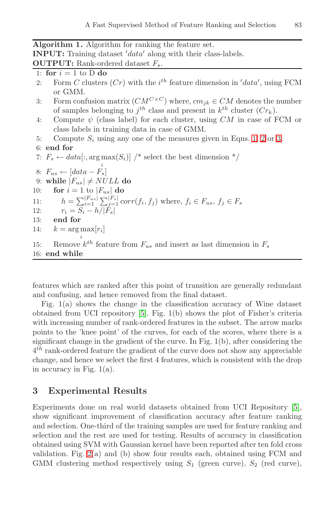<span id="page-3-0"></span>

| <b>Algorithm 1.</b> Algorithm for ranking the feature set.                                                |  |  |  |  |  |  |  |  |
|-----------------------------------------------------------------------------------------------------------|--|--|--|--|--|--|--|--|
| <b>INPUT:</b> Training dataset 'data' along with their class-labels.                                      |  |  |  |  |  |  |  |  |
| <b>OUTPUT:</b> Rank-ordered dataset $F_s$ .                                                               |  |  |  |  |  |  |  |  |
| 1: for $i = 1$ to D do                                                                                    |  |  |  |  |  |  |  |  |
| Form C clusters $(Cr)$ with the i <sup>th</sup> feature dimension in 'data', using FCM<br>2:              |  |  |  |  |  |  |  |  |
| or GMM.                                                                                                   |  |  |  |  |  |  |  |  |
| Form confusion matrix $(CM^{C\times C})$ where, $cm_{ik} \in CM$ denotes the number<br>3:                 |  |  |  |  |  |  |  |  |
| of samples belonging to $j^{th}$ class and present in $k^{th}$ cluster $(Cr_k)$ .                         |  |  |  |  |  |  |  |  |
| Compute $\psi$ (class label) for each cluster, using CM in case of FCM or<br>4:                           |  |  |  |  |  |  |  |  |
| class labels in training data in case of GMM.                                                             |  |  |  |  |  |  |  |  |
| Compute $S_i$ using any one of the measures given in Eqns. 1, 2 or 3.<br>5:                               |  |  |  |  |  |  |  |  |
| $6:$ end for                                                                                              |  |  |  |  |  |  |  |  |
| 7: $F_s \leftarrow data[:, \arg \max(S_i)]$ /* select the best dimension */                               |  |  |  |  |  |  |  |  |
| 8: $F_{us} \leftarrow [data - F_s]$                                                                       |  |  |  |  |  |  |  |  |
|                                                                                                           |  |  |  |  |  |  |  |  |
| 9: while $ F_{us}  \neq NULL$ do                                                                          |  |  |  |  |  |  |  |  |
| for $i = 1$ to $ F_{us} $ do<br>10:                                                                       |  |  |  |  |  |  |  |  |
| $h = \sum_{i=1}^{ F_{us} } \sum_{j=1}^{ F_s } corr(f_i, f_j)$ where, $f_i \in F_{us}, f_j \in F_s$<br>11: |  |  |  |  |  |  |  |  |
| 12: $r_i = S_i - h/ \tilde{F}_s $                                                                         |  |  |  |  |  |  |  |  |
| 13: end for                                                                                               |  |  |  |  |  |  |  |  |
| 14: $k = \arg \max[r_i]$                                                                                  |  |  |  |  |  |  |  |  |
| i.                                                                                                        |  |  |  |  |  |  |  |  |
| Remove $k^{th}$ feature from $F_{us}$ and insert as last dimension in $F_s$<br>15:                        |  |  |  |  |  |  |  |  |
| 16: end while                                                                                             |  |  |  |  |  |  |  |  |

features which are ranked after this point of transition are generally redundant and confusing, and hence removed from the final dataset.

Fig. 1(a) shows the change in the classification accuracy of Wine dataset obtained from UCI repository [5]. Fig. 1(b) shows the plot of Fisher's criteria with increasing number of rank-ordered features in the subset. The arrow marks points to the 'knee point' of the curves, for each of the s[cor](#page-5-4)es, where there is a significant change in the gradient of the curve. In Fig. 1(b), after considering the  $4<sup>th</sup>$  rank-ordered feature the gradient of the curve does not show any appreciable change, and hence we select the first 4 features, which is consistent with the drop in accuracy in Fig. 1(a).

## **3 Experimental Results**

Experiments done on real world datasets obtained from UCI Repository [5], show significant improvement of classification accuracy after feature ranking and selection. One-third of the training samples are used for feature ranking and selection and the rest are used for testing. Results of accuracy in classification obtained using SVM with Gaussian kernel have been reported after ten fold cross validation. Fig. 2(a) and (b) show four results each, obtained using FCM and GMM clustering method respectively using  $S_1$  (green curve),  $S_2$  (red curve),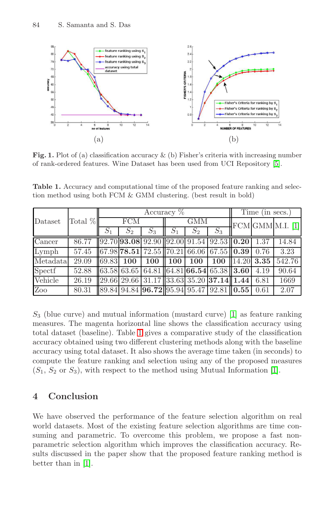

<span id="page-4-0"></span>Fig. 1. Plot of (a) classification accuracy  $\&$  (b) Fisher's criteria [w](#page-5-1)ith increasing number of rank-ordered features. Wine Dataset has been used from UCI Repository [5].

|                             | Total $\%$ | Accuracy % |       |       |            |       | Time (in secs.)                                                                                        |  |            |                      |
|-----------------------------|------------|------------|-------|-------|------------|-------|--------------------------------------------------------------------------------------------------------|--|------------|----------------------|
| Dataset                     |            | <b>FCM</b> |       |       | <b>GMM</b> |       |                                                                                                        |  |            | $-$ FCM GMM M.I. [1] |
|                             |            |            | $S_2$ | $S_3$ | $S_1$      | $S_2$ | $S_3$                                                                                                  |  |            |                      |
| $\overline{\text{C}}$ ancer | 86.77      |            |       |       |            |       | $[92.70]$ 93.08 92.90 92.00 91.54 92.53 0.20                                                           |  | 1.37       | 14.84                |
| Lymph                       | 57.45      |            |       |       |            |       | $(67.9878.5172.55770.2166.06667.5570.39)$                                                              |  | 0.76       | 3.23                 |
| Metadata                    | 29.09      | 69.83 100  |       |       | 100 100    | 100   | 100                                                                                                    |  | 14.20 3.35 | 542.76               |
| Spectf                      | 52.88      |            |       |       |            |       | $ 63.58 63.65 64.81 64.8166.5465.38 3.60 $                                                             |  | 4.19       | 90.64                |
| <b>Vehicle</b>              | 26.19      |            |       |       |            |       | $29.66$ 29.66 31.17 33.63 35.20 37.14 1.44                                                             |  | 6.81       | 1669                 |
| Zoo                         | 80.31      |            |       |       |            |       | $\left  89.84 \right  94.84 \left  96.72 \right  95.94 \left  95.47 \right  92.81 \left  0.55 \right $ |  | 0.61       | 2.07                 |

**Table 1.** Accuracy and computational time of the proposed feature ranking and selection method using both FCM & GMM clustering. (best result in bold)

 $S_3$  (blue curve) and mutual information (mustard curve) [1] as feature ranking measures. The magenta horizontal line shows the classification accuracy using total dataset (baseline). Table 1 gives a comparative study of the classification accuracy obtained using two different clustering methods along with the baseline accuracy using total dataset. It also shows the average time taken (in seconds) to compute the feature ranking and selection using any of the proposed measures  $(S_1, S_2 \text{ or } S_3)$ , with respect to the method using Mutual Information [1].

# **4 Conclusion**

We have observed the performance of the feature selection algorithm on real world datasets. Most of the existing feature selection algorithms are time consuming and parametric. To overcome this problem, we propose a fast nonparametric selection algorithm which improves the classification accuracy. Results discussed in the paper show that the proposed feature ranking method is better than in [1].